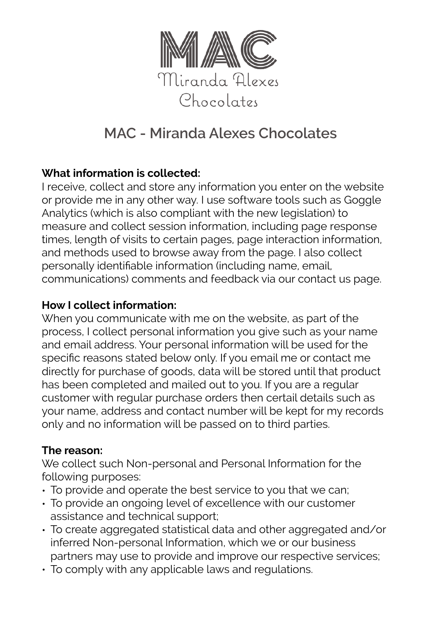

# **MAC - Miranda Alexes Chocolates**

## **What information is collected:**

I receive, collect and store any information you enter on the website or provide me in any other way. I use software tools such as Goggle Analytics (which is also compliant with the new legislation) to measure and collect session information, including page response times, length of visits to certain pages, page interaction information, and methods used to browse away from the page. I also collect personally identifiable information (including name, email, communications) comments and feedback via our contact us page.

#### **How I collect information:**

When you communicate with me on the website, as part of the process, I collect personal information you give such as your name and email address. Your personal information will be used for the specific reasons stated below only. If you email me or contact me directly for purchase of goods, data will be stored until that product has been completed and mailed out to you. If you are a regular customer with regular purchase orders then certail details such as your name, address and contact number will be kept for my records only and no information will be passed on to third parties.

### **The reason:**

We collect such Non-personal and Personal Information for the following purposes:

- To provide and operate the best service to you that we can;
- To provide an ongoing level of excellence with our customer assistance and technical support;
- To create aggregated statistical data and other aggregated and/or inferred Non-personal Information, which we or our business partners may use to provide and improve our respective services;
- To comply with any applicable laws and regulations.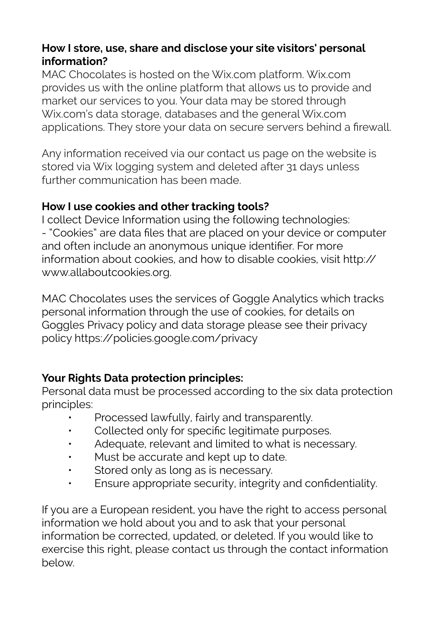## **How I store, use, share and disclose your site visitors' personal information?**

MAC Chocolates is hosted on the Wix.com platform. Wix.com provides us with the online platform that allows us to provide and market our services to you. Your data may be stored through Wix.com's data storage, databases and the general Wix.com applications. They store your data on secure servers behind a firewall.

Any information received via our contact us page on the website is stored via Wix logging system and deleted after 31 days unless further communication has been made.

### **How I use cookies and other tracking tools?**

I collect Device Information using the following technologies: - "Cookies" are data files that are placed on your device or computer and often include an anonymous unique identifier. For more information about cookies, and how to disable cookies, visit [http://](https://l.facebook.com/l.php?u=http%3A%2F%2Fwww.allaboutcookies.org%2F&h=ATPCsHh-VtATsVA-acv8c-UQTSNdRXJNs2E4FPhCbZIh0xuIhp2OVWqt0chBmN-ECgnrHa-rscOrf-efaYaRRBnFRl8_1ab6DZTSTj-mfKKbb90uqQn-CFvW) [www.allaboutcookies.org](https://l.facebook.com/l.php?u=http%3A%2F%2Fwww.allaboutcookies.org%2F&h=ATPCsHh-VtATsVA-acv8c-UQTSNdRXJNs2E4FPhCbZIh0xuIhp2OVWqt0chBmN-ECgnrHa-rscOrf-efaYaRRBnFRl8_1ab6DZTSTj-mfKKbb90uqQn-CFvW).

MAC Chocolates uses the services of Goggle Analytics which tracks personal information through the use of cookies, for details on Goggles Privacy policy and data storage please see their privacy policy [https://policies.google.com/privacy](https://l.facebook.com/l.php?u=https%3A%2F%2Fpolicies.google.com%2Fprivacy&h=ATPCsHh-VtATsVA-acv8c-UQTSNdRXJNs2E4FPhCbZIh0xuIhp2OVWqt0chBmN-ECgnrHa-rscOrf-efaYaRRBnFRl8_1ab6DZTSTj-mfKKbb90uqQn-CFvW) 

## **Your Rights Data protection principles:**

Personal data must be processed according to the six data protection principles:

- Processed lawfully, fairly and transparently.
- Collected only for specific legitimate purposes.
- Adequate, relevant and limited to what is necessary.
- Must be accurate and kept up to date.
- Stored only as long as is necessary.
- Ensure appropriate security, integrity and confidentiality.

If you are a European resident, you have the right to access personal information we hold about you and to ask that your personal information be corrected, updated, or deleted. If you would like to exercise this right, please contact us through the contact information below.